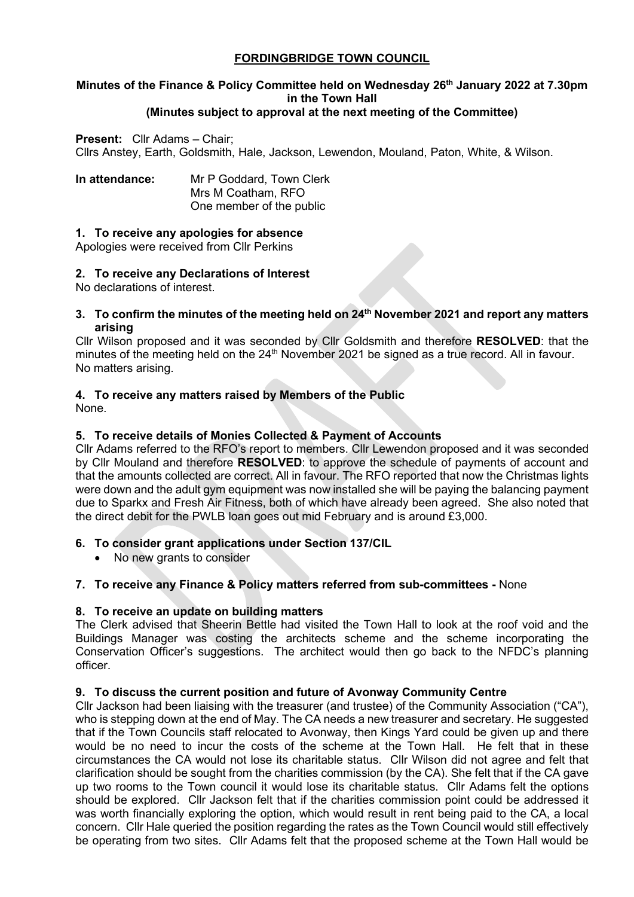# **FORDINGBRIDGE TOWN COUNCIL**

# **Minutes of the Finance & Policy Committee held on Wednesday 26th January 2022 at 7.30pm in the Town Hall**

# **(Minutes subject to approval at the next meeting of the Committee)**

#### **Present:** Cllr Adams – Chair;

Cllrs Anstey, Earth, Goldsmith, Hale, Jackson, Lewendon, Mouland, Paton, White, & Wilson.

| In attendance: | Mr P Goddard, Town Clerk |
|----------------|--------------------------|
|                | Mrs M Coatham, RFO       |
|                | One member of the public |

#### **1. To receive any apologies for absence**

Apologies were received from Cllr Perkins

#### **2. To receive any Declarations of Interest**

No declarations of interest.

**3. To confirm the minutes of the meeting held on 24th November 2021 and report any matters arising**

Cllr Wilson proposed and it was seconded by Cllr Goldsmith and therefore **RESOLVED**: that the minutes of the meeting held on the 24<sup>th</sup> November 2021 be signed as a true record. All in favour. No matters arising.

#### **4. To receive any matters raised by Members of the Public**

None.

#### **5. To receive details of Monies Collected & Payment of Accounts**

Cllr Adams referred to the RFO's report to members. Cllr Lewendon proposed and it was seconded by Cllr Mouland and therefore **RESOLVED**: to approve the schedule of payments of account and that the amounts collected are correct. All in favour. The RFO reported that now the Christmas lights were down and the adult gym equipment was now installed she will be paying the balancing payment due to Sparkx and Fresh Air Fitness, both of which have already been agreed. She also noted that the direct debit for the PWLB loan goes out mid February and is around £3,000.

#### **6. To consider grant applications under Section 137/CIL**

• No new grants to consider

#### **7. To receive any Finance & Policy matters referred from sub-committees -** None

#### **8. To receive an update on building matters**

The Clerk advised that Sheerin Bettle had visited the Town Hall to look at the roof void and the Buildings Manager was costing the architects scheme and the scheme incorporating the Conservation Officer's suggestions. The architect would then go back to the NFDC's planning officer.

#### **9. To discuss the current position and future of Avonway Community Centre**

Cllr Jackson had been liaising with the treasurer (and trustee) of the Community Association ("CA"), who is stepping down at the end of May. The CA needs a new treasurer and secretary. He suggested that if the Town Councils staff relocated to Avonway, then Kings Yard could be given up and there would be no need to incur the costs of the scheme at the Town Hall. He felt that in these circumstances the CA would not lose its charitable status. Cllr Wilson did not agree and felt that clarification should be sought from the charities commission (by the CA). She felt that if the CA gave up two rooms to the Town council it would lose its charitable status. Cllr Adams felt the options should be explored. Cllr Jackson felt that if the charities commission point could be addressed it was worth financially exploring the option, which would result in rent being paid to the CA, a local concern. Cllr Hale queried the position regarding the rates as the Town Council would still effectively be operating from two sites. Cllr Adams felt that the proposed scheme at the Town Hall would be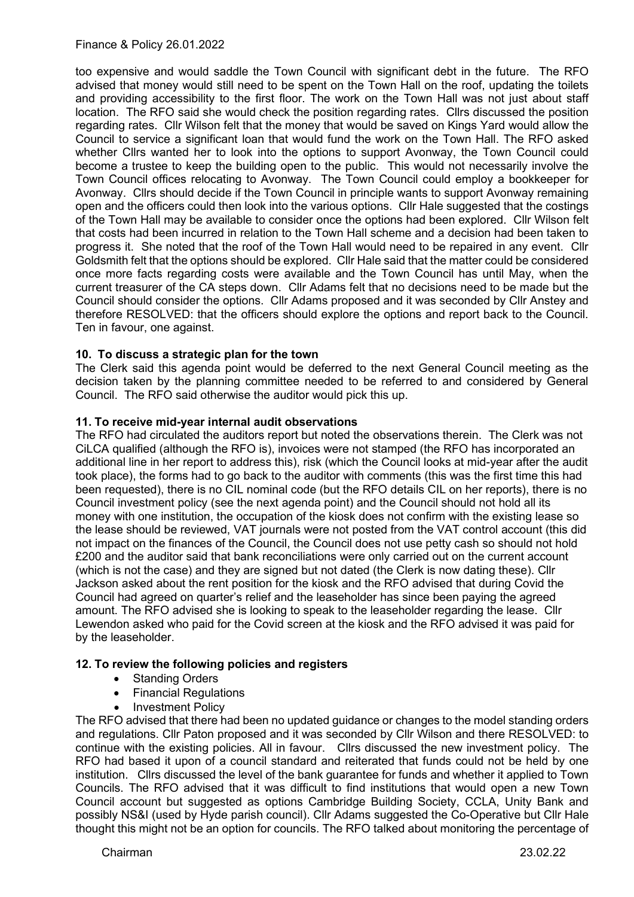# Finance & Policy 26.01.2022

too expensive and would saddle the Town Council with significant debt in the future. The RFO advised that money would still need to be spent on the Town Hall on the roof, updating the toilets and providing accessibility to the first floor. The work on the Town Hall was not just about staff location. The RFO said she would check the position regarding rates. Cllrs discussed the position regarding rates. Cllr Wilson felt that the money that would be saved on Kings Yard would allow the Council to service a significant loan that would fund the work on the Town Hall. The RFO asked whether Cllrs wanted her to look into the options to support Avonway, the Town Council could become a trustee to keep the building open to the public. This would not necessarily involve the Town Council offices relocating to Avonway. The Town Council could employ a bookkeeper for Avonway. Cllrs should decide if the Town Council in principle wants to support Avonway remaining open and the officers could then look into the various options. Cllr Hale suggested that the costings of the Town Hall may be available to consider once the options had been explored. Cllr Wilson felt that costs had been incurred in relation to the Town Hall scheme and a decision had been taken to progress it. She noted that the roof of the Town Hall would need to be repaired in any event. Cllr Goldsmith felt that the options should be explored. Cllr Hale said that the matter could be considered once more facts regarding costs were available and the Town Council has until May, when the current treasurer of the CA steps down. Cllr Adams felt that no decisions need to be made but the Council should consider the options. Cllr Adams proposed and it was seconded by Cllr Anstey and therefore RESOLVED: that the officers should explore the options and report back to the Council. Ten in favour, one against.

#### **10. To discuss a strategic plan for the town**

The Clerk said this agenda point would be deferred to the next General Council meeting as the decision taken by the planning committee needed to be referred to and considered by General Council. The RFO said otherwise the auditor would pick this up.

#### **11. To receive mid-year internal audit observations**

The RFO had circulated the auditors report but noted the observations therein. The Clerk was not CiLCA qualified (although the RFO is), invoices were not stamped (the RFO has incorporated an additional line in her report to address this), risk (which the Council looks at mid-year after the audit took place), the forms had to go back to the auditor with comments (this was the first time this had been requested), there is no CIL nominal code (but the RFO details CIL on her reports), there is no Council investment policy (see the next agenda point) and the Council should not hold all its money with one institution, the occupation of the kiosk does not confirm with the existing lease so the lease should be reviewed, VAT journals were not posted from the VAT control account (this did not impact on the finances of the Council, the Council does not use petty cash so should not hold £200 and the auditor said that bank reconciliations were only carried out on the current account (which is not the case) and they are signed but not dated (the Clerk is now dating these). Cllr Jackson asked about the rent position for the kiosk and the RFO advised that during Covid the Council had agreed on quarter's relief and the leaseholder has since been paying the agreed amount. The RFO advised she is looking to speak to the leaseholder regarding the lease. Cllr Lewendon asked who paid for the Covid screen at the kiosk and the RFO advised it was paid for by the leaseholder.

#### **12. To review the following policies and registers**

- Standing Orders
- Financial Regulations
- Investment Policy

The RFO advised that there had been no updated guidance or changes to the model standing orders and regulations. Cllr Paton proposed and it was seconded by Cllr Wilson and there RESOLVED: to continue with the existing policies. All in favour. Cllrs discussed the new investment policy. The RFO had based it upon of a council standard and reiterated that funds could not be held by one institution. Cllrs discussed the level of the bank guarantee for funds and whether it applied to Town Councils. The RFO advised that it was difficult to find institutions that would open a new Town Council account but suggested as options Cambridge Building Society, CCLA, Unity Bank and possibly NS&I (used by Hyde parish council). Cllr Adams suggested the Co-Operative but Cllr Hale thought this might not be an option for councils. The RFO talked about monitoring the percentage of